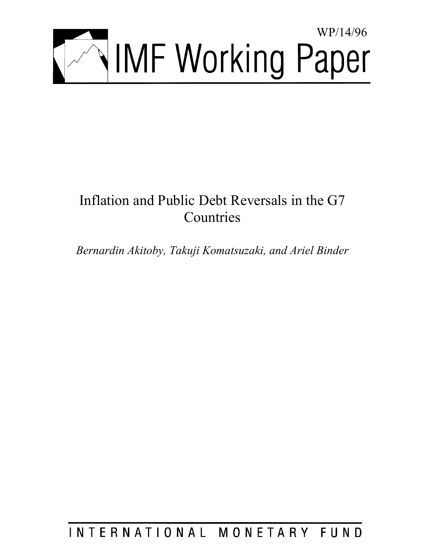

# Inflation and Public Debt Reversals in the G7 Countries

*Bernardin Akitoby, Takuji Komatsuzaki, and Ariel Binder* 

# INTERNATIONAL MONETARY FUND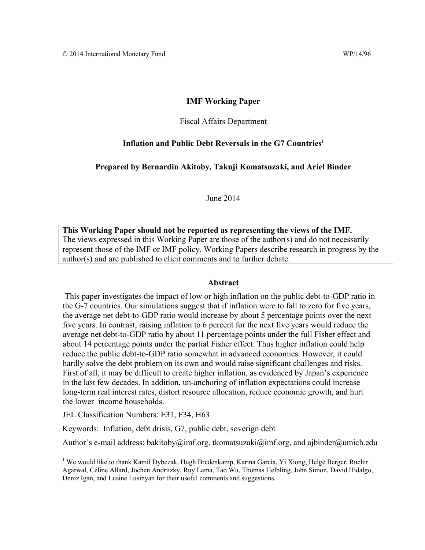#### **IMF Working Paper**

#### Fiscal Affairs Department

#### Inflation and Public Debt Reversals in the G7 Countries<sup>1</sup>

#### **Prepared by Bernardin Akitoby, Takuji Komatsuzaki, and Ariel Binder**

June 2014

**This Working Paper should not be reported as representing the views of the IMF.**  The views expressed in this Working Paper are those of the author(s) and do not necessarily represent those of the IMF or IMF policy. Working Papers describe research in progress by the author(s) and are published to elicit comments and to further debate.

#### **Abstract**

 This paper investigates the impact of low or high inflation on the public debt-to-GDP ratio in the G-7 countries. Our simulations suggest that if inflation were to fall to zero for five years, the average net debt-to-GDP ratio would increase by about 5 percentage points over the next five years. In contrast, raising inflation to 6 percent for the next five years would reduce the average net debt-to-GDP ratio by about 11 percentage points under the full Fisher effect and about 14 percentage points under the partial Fisher effect. Thus higher inflation could help reduce the public debt-to-GDP ratio somewhat in advanced economies. However, it could hardly solve the debt problem on its own and would raise significant challenges and risks. First of all, it may be difficult to create higher inflation, as evidenced by Japan's experience in the last few decades. In addition, un-anchoring of inflation expectations could increase long-term real interest rates, distort resource allocation, reduce economic growth, and hurt the lower–income households.

JEL Classification Numbers: E31, F34, H63

Keywords: Inflation, debt drisis, G7, public debt, soverign debt

Author's e-mail address: bakitoby@imf.org, tkomatsuzaki@imf.org, and ajbinder@umich.edu

<sup>&</sup>lt;sup>1</sup> We would like to thank Kamil Dybczak, Hugh Bredenkamp, Karina Garcia, Yi Xiong, Helge Berger, Ruchir Agarwal, Céline Allard, Jochen Andritzky, Ruy Lama, Tao Wu, Thomas Helbling, John Simon, David Hidalgo, Deniz Igan, and Lusine Lusinyan for their useful comments and suggestions.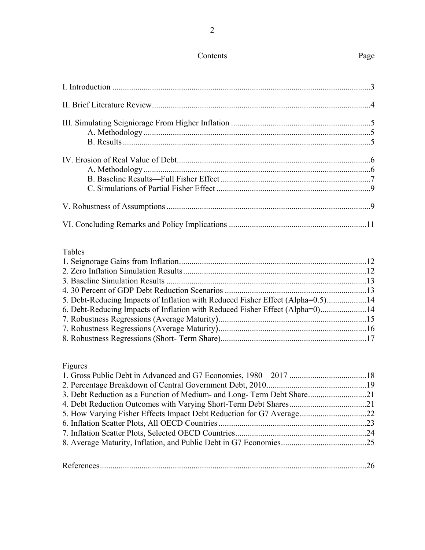### Contents Page

### Tables

| 5. Debt-Reducing Impacts of Inflation with Reduced Fisher Effect (Alpha=0.5)14 |
|--------------------------------------------------------------------------------|
| 6. Debt-Reducing Impacts of Inflation with Reduced Fisher Effect (Alpha=0)14   |
|                                                                                |
|                                                                                |
|                                                                                |
|                                                                                |

### Figures

| 3. Debt Reduction as a Function of Medium- and Long-Term Debt Share21 |  |
|-----------------------------------------------------------------------|--|
|                                                                       |  |
|                                                                       |  |
|                                                                       |  |
|                                                                       |  |
|                                                                       |  |
|                                                                       |  |
|                                                                       |  |

| D |  |
|---|--|
|   |  |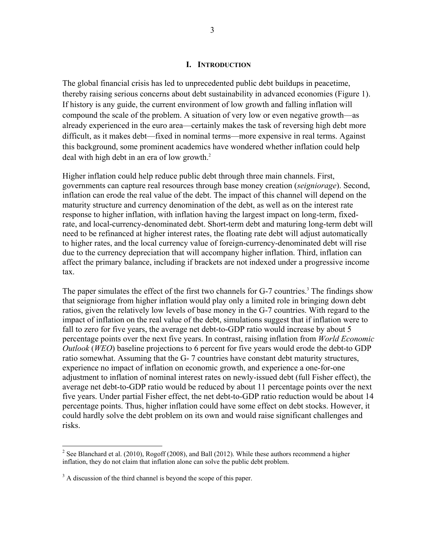#### **I. INTRODUCTION**

The global financial crisis has led to unprecedented public debt buildups in peacetime, thereby raising serious concerns about debt sustainability in advanced economies (Figure 1). If history is any guide, the current environment of low growth and falling inflation will compound the scale of the problem. A situation of very low or even negative growth—as already experienced in the euro area—certainly makes the task of reversing high debt more difficult, as it makes debt—fixed in nominal terms—more expensive in real terms. Against this background, some prominent academics have wondered whether inflation could help deal with high debt in an era of low growth.<sup>2</sup>

Higher inflation could help reduce public debt through three main channels. First, governments can capture real resources through base money creation (*seigniorage*). Second, inflation can erode the real value of the debt. The impact of this channel will depend on the maturity structure and currency denomination of the debt, as well as on the interest rate response to higher inflation, with inflation having the largest impact on long-term, fixedrate, and local-currency-denominated debt. Short-term debt and maturing long-term debt will need to be refinanced at higher interest rates, the floating rate debt will adjust automatically to higher rates, and the local currency value of foreign-currency-denominated debt will rise due to the currency depreciation that will accompany higher inflation. Third, inflation can affect the primary balance, including if brackets are not indexed under a progressive income tax.

The paper simulates the effect of the first two channels for G-7 countries.<sup>3</sup> The findings show that seigniorage from higher inflation would play only a limited role in bringing down debt ratios, given the relatively low levels of base money in the G-7 countries. With regard to the impact of inflation on the real value of the debt, simulations suggest that if inflation were to fall to zero for five years, the average net debt-to-GDP ratio would increase by about 5 percentage points over the next five years. In contrast, raising inflation from *World Economic Outlook* (*WEO*) baseline projections to 6 percent for five years would erode the debt-to GDP ratio somewhat. Assuming that the G- 7 countries have constant debt maturity structures, experience no impact of inflation on economic growth, and experience a one-for-one adjustment to inflation of nominal interest rates on newly-issued debt (full Fisher effect), the average net debt-to-GDP ratio would be reduced by about 11 percentage points over the next five years. Under partial Fisher effect, the net debt-to-GDP ratio reduction would be about 14 percentage points. Thus, higher inflation could have some effect on debt stocks. However, it could hardly solve the debt problem on its own and would raise significant challenges and risks.

<u>.</u>

<sup>&</sup>lt;sup>2</sup> See Blanchard et al. (2010), Rogoff (2008), and Ball (2012). While these authors recommend a higher inflation, they do not claim that inflation alone can solve the public debt problem.

<sup>&</sup>lt;sup>3</sup> A discussion of the third channel is beyond the scope of this paper.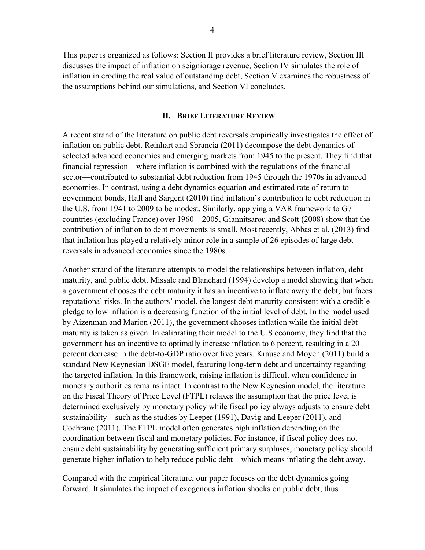This paper is organized as follows: Section II provides a brief literature review, Section III discusses the impact of inflation on seigniorage revenue, Section IV simulates the role of inflation in eroding the real value of outstanding debt, Section V examines the robustness of the assumptions behind our simulations, and Section VI concludes.

#### **II. BRIEF LITERATURE REVIEW**

A recent strand of the literature on public debt reversals empirically investigates the effect of inflation on public debt. Reinhart and Sbrancia (2011) decompose the debt dynamics of selected advanced economies and emerging markets from 1945 to the present. They find that financial repression—where inflation is combined with the regulations of the financial sector—contributed to substantial debt reduction from 1945 through the 1970s in advanced economies. In contrast, using a debt dynamics equation and estimated rate of return to government bonds, Hall and Sargent (2010) find inflation's contribution to debt reduction in the U.S. from 1941 to 2009 to be modest. Similarly, applying a VAR framework to G7 countries (excluding France) over 1960—2005, Giannitsarou and Scott (2008) show that the contribution of inflation to debt movements is small. Most recently, Abbas et al. (2013) find that inflation has played a relatively minor role in a sample of 26 episodes of large debt reversals in advanced economies since the 1980s.

Another strand of the literature attempts to model the relationships between inflation, debt maturity, and public debt. Missale and Blanchard (1994) develop a model showing that when a government chooses the debt maturity it has an incentive to inflate away the debt, but faces reputational risks. In the authors' model, the longest debt maturity consistent with a credible pledge to low inflation is a decreasing function of the initial level of debt. In the model used by Aizenman and Marion (2011), the government chooses inflation while the initial debt maturity is taken as given. In calibrating their model to the U.S economy, they find that the government has an incentive to optimally increase inflation to 6 percent, resulting in a 20 percent decrease in the debt-to-GDP ratio over five years. Krause and Moyen (2011) build a standard New Keynesian DSGE model, featuring long-term debt and uncertainty regarding the targeted inflation. In this framework, raising inflation is difficult when confidence in monetary authorities remains intact. In contrast to the New Keynesian model, the literature on the Fiscal Theory of Price Level (FTPL) relaxes the assumption that the price level is determined exclusively by monetary policy while fiscal policy always adjusts to ensure debt sustainability—such as the studies by Leeper (1991), Davig and Leeper (2011), and Cochrane (2011). The FTPL model often generates high inflation depending on the coordination between fiscal and monetary policies. For instance, if fiscal policy does not ensure debt sustainability by generating sufficient primary surpluses, monetary policy should generate higher inflation to help reduce public debt—which means inflating the debt away.

Compared with the empirical literature, our paper focuses on the debt dynamics going forward. It simulates the impact of exogenous inflation shocks on public debt, thus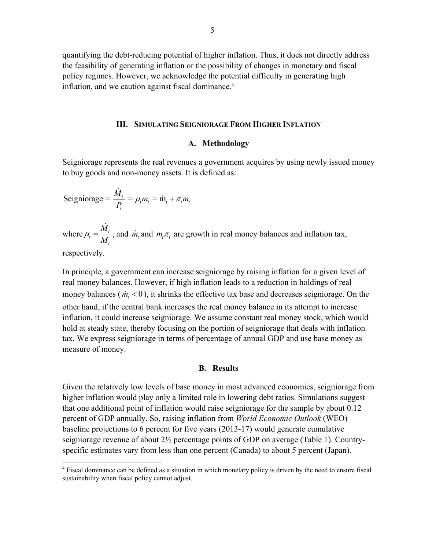quantifying the debt-reducing potential of higher inflation. Thus, it does not directly address the feasibility of generating inflation or the possibility of changes in monetary and fiscal policy regimes. However, we acknowledge the potential difficulty in generating high inflation, and we caution against fiscal dominance.<sup>4</sup>

#### **III. SIMULATING SEIGNIORAGE FROM HIGHER INFLATION**

#### **A. Methodology**

Seigniorage represents the real revenues a government acquires by using newly issued money to buy goods and non-money assets. It is defined as:

$$
Seigniorage = \frac{\dot{M}_t}{P_t} = \mu_t m_t = \dot{m}_t + \pi_t m_t
$$

where  $\mu_t = \frac{m_t}{M}$ *t*  $\mu_{i} = \frac{\dot{M}_{i}}{M_{i}}$ , and  $\dot{m}_{i}$  and  $m_{i} \pi_{i}$  are growth in real money balances and inflation tax,

respectively.

 $\overline{a}$ 

In principle, a government can increase seigniorage by raising inflation for a given level of real money balances. However, if high inflation leads to a reduction in holdings of real money balances ( $\dot{m}_t < 0$ ), it shrinks the effective tax base and decreases seigniorage. On the other hand, if the central bank increases the real money balance in its attempt to increase inflation, it could increase seigniorage. We assume constant real money stock, which would hold at steady state, thereby focusing on the portion of seigniorage that deals with inflation tax. We express seigniorage in terms of percentage of annual GDP and use base money as measure of money.

#### **B. Results**

Given the relatively low levels of base money in most advanced economies, seigniorage from higher inflation would play only a limited role in lowering debt ratios. Simulations suggest that one additional point of inflation would raise seigniorage for the sample by about 0.12 percent of GDP annually. So, raising inflation from *World Economic Outlook* (WEO) baseline projections to 6 percent for five years (2013-17) would generate cumulative seigniorage revenue of about  $2\frac{1}{2}$  percentage points of GDP on average (Table 1). Countryspecific estimates vary from less than one percent (Canada) to about 5 percent (Japan).

<sup>&</sup>lt;sup>4</sup> Fiscal dominance can be defined as a situation in which monetary policy is driven by the need to ensure fiscal sustainability when fiscal policy cannot adjust.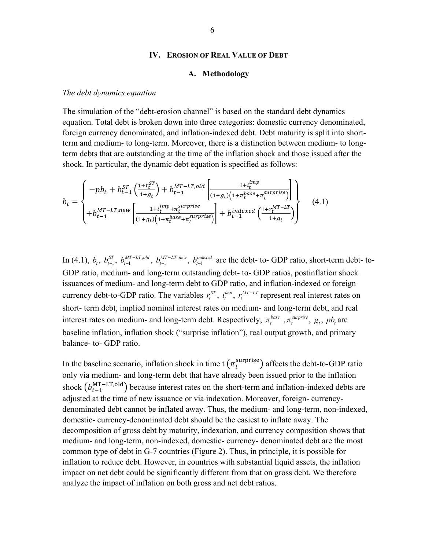#### **IV. EROSION OF REAL VALUE OF DEBT**

#### **A. Methodology**

#### *The debt dynamics equation*

The simulation of the "debt-erosion channel" is based on the standard debt dynamics equation. Total debt is broken down into three categories: domestic currency denominated, foreign currency denominated, and inflation-indexed debt. Debt maturity is split into shortterm and medium- to long-term. Moreover, there is a distinction between medium- to longterm debts that are outstanding at the time of the inflation shock and those issued after the shock. In particular, the dynamic debt equation is specified as follows:

$$
b_{t} = \begin{cases}\n-pb_{t} + b_{t-1}^{ST} \left( \frac{1 + r_{t}^{ST}}{1 + g_{t}} \right) + b_{t-1}^{MT - LT, old} \left[ \frac{1 + i_{t}^{imp}}{(1 + g_{t}) \left( 1 + \pi_{t}^{base} + \pi_{t}^{surprise} \right)} \right] \\
+ b_{t-1}^{MT - LT, new} \left[ \frac{1 + i_{t}^{imp} + \pi_{t}^{surprise}}{(1 + g_{t}) \left( 1 + \pi_{t}^{base} + \pi_{t}^{surprise} \right)} \right] + b_{t-1}^{indexed} \left( \frac{1 + r_{t}^{MT - LT}}{1 + g_{t}} \right)\n\end{cases} \tag{4.1}
$$

In (4.1),  $b_t$ ,  $b_{t-1}^{ST}$ ,  $b_{t-1}^{MT-LT,old}$ ,  $b_{t-1}^{MT-LT,new}$ ,  $b_{t-1}^{indexed}$  are the debt- to-GDP ratio, short-term debt- to-GDP ratio, medium- and long-term outstanding debt- to- GDP ratios, postinflation shock issuances of medium- and long-term debt to GDP ratio, and inflation-indexed or foreign currency debt-to-GDP ratio. The variables  $r_t^{ST}$ ,  $i_t^{imp}$ ,  $r_t^{MT-LT}$  represent real interest rates on short- term debt, implied nominal interest rates on medium- and long-term debt, and real interest rates on medium- and long-term debt. Respectively,  $\pi_t^{base}$ ,  $\pi_t^{surface}$ ,  $g_t$ ,  $pb_t$  are baseline inflation, inflation shock ("surprise inflation"), real output growth, and primary balance- to- GDP ratio.

In the baseline scenario, inflation shock in time t  $(\pi_t^{\text{surprise}})$  affects the debt-to-GDP ratio only via medium- and long-term debt that have already been issued prior to the inflation shock  $(b_{t-1}^{\text{MT-LT,old}})$  because interest rates on the short-term and inflation-indexed debts are adjusted at the time of new issuance or via indexation. Moreover, foreign- currencydenominated debt cannot be inflated away. Thus, the medium- and long-term, non-indexed, domestic- currency-denominated debt should be the easiest to inflate away. The decomposition of gross debt by maturity, indexation, and currency composition shows that medium- and long-term, non-indexed, domestic- currency- denominated debt are the most common type of debt in G-7 countries (Figure 2). Thus, in principle, it is possible for inflation to reduce debt. However, in countries with substantial liquid assets, the inflation impact on net debt could be significantly different from that on gross debt. We therefore analyze the impact of inflation on both gross and net debt ratios.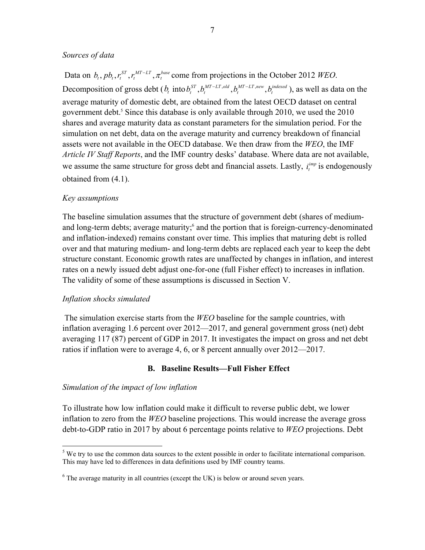#### *Sources of data*

Data on  $b_t$ ,  $pb_t$ ,  $r_t^{ST}$ ,  $r_t^{MT-LT}$ ,  $\pi_t^{base}$  come from projections in the October 2012 *WEO*. Decomposition of gross debt  $(b_t \text{ into } b_t^{ST}, b_t^{MT-LT, old}, b_t^{MT-LT, new}, b_t^{indexed})$ , as well as data on the average maturity of domestic debt, are obtained from the latest OECD dataset on central government debt.<sup>5</sup> Since this database is only available through 2010, we used the 2010 shares and average maturity data as constant parameters for the simulation period. For the simulation on net debt, data on the average maturity and currency breakdown of financial assets were not available in the OECD database. We then draw from the *WEO*, the IMF *Article IV Staff Reports*, and the IMF country desks' database. Where data are not available, we assume the same structure for gross debt and financial assets. Lastly,  $i_t^{imp}$  is endogenously obtained from (4.1).

#### *Key assumptions*

The baseline simulation assumes that the structure of government debt (shares of mediumand long-term debts; average maturity;<sup>6</sup> and the portion that is foreign-currency-denominated and inflation-indexed) remains constant over time. This implies that maturing debt is rolled over and that maturing medium- and long-term debts are replaced each year to keep the debt structure constant. Economic growth rates are unaffected by changes in inflation, and interest rates on a newly issued debt adjust one-for-one (full Fisher effect) to increases in inflation. The validity of some of these assumptions is discussed in Section V.

#### *Inflation shocks simulated*

 $\overline{a}$ 

 The simulation exercise starts from the *WEO* baseline for the sample countries, with inflation averaging 1.6 percent over 2012—2017, and general government gross (net) debt averaging 117 (87) percent of GDP in 2017. It investigates the impact on gross and net debt ratios if inflation were to average 4, 6, or 8 percent annually over 2012—2017.

#### **B. Baseline Results—Full Fisher Effect**

#### *Simulation of the impact of low inflation*

To illustrate how low inflation could make it difficult to reverse public debt, we lower inflation to zero from the *WEO* baseline projections. This would increase the average gross debt-to-GDP ratio in 2017 by about 6 percentage points relative to *WEO* projections. Debt

 $<sup>5</sup>$  We try to use the common data sources to the extent possible in order to facilitate international comparison.</sup> This may have led to differences in data definitions used by IMF country teams.

 $6$  The average maturity in all countries (except the UK) is below or around seven years.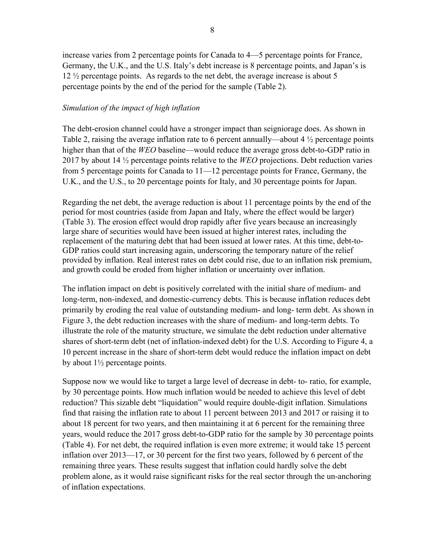increase varies from 2 percentage points for Canada to 4—5 percentage points for France, Germany, the U.K., and the U.S. Italy's debt increase is 8 percentage points, and Japan's is 12 ½ percentage points. As regards to the net debt, the average increase is about 5 percentage points by the end of the period for the sample (Table 2).

#### *Simulation of the impact of high inflation*

The debt-erosion channel could have a stronger impact than seigniorage does. As shown in Table 2, raising the average inflation rate to 6 percent annually—about 4  $\frac{1}{2}$  percentage points higher than that of the *WEO* baseline—would reduce the average gross debt-to-GDP ratio in 2017 by about 14 ½ percentage points relative to the *WEO* projections. Debt reduction varies from 5 percentage points for Canada to 11—12 percentage points for France, Germany, the U.K., and the U.S., to 20 percentage points for Italy, and 30 percentage points for Japan.

Regarding the net debt, the average reduction is about 11 percentage points by the end of the period for most countries (aside from Japan and Italy, where the effect would be larger) (Table 3). The erosion effect would drop rapidly after five years because an increasingly large share of securities would have been issued at higher interest rates, including the replacement of the maturing debt that had been issued at lower rates. At this time, debt-to-GDP ratios could start increasing again, underscoring the temporary nature of the relief provided by inflation. Real interest rates on debt could rise, due to an inflation risk premium, and growth could be eroded from higher inflation or uncertainty over inflation.

The inflation impact on debt is positively correlated with the initial share of medium- and long-term, non-indexed, and domestic-currency debts. This is because inflation reduces debt primarily by eroding the real value of outstanding medium- and long- term debt. As shown in Figure 3, the debt reduction increases with the share of medium- and long-term debts. To illustrate the role of the maturity structure, we simulate the debt reduction under alternative shares of short-term debt (net of inflation-indexed debt) for the U.S. According to Figure 4, a 10 percent increase in the share of short-term debt would reduce the inflation impact on debt by about 1½ percentage points.

Suppose now we would like to target a large level of decrease in debt- to- ratio, for example, by 30 percentage points. How much inflation would be needed to achieve this level of debt reduction? This sizable debt "liquidation" would require double-digit inflation. Simulations find that raising the inflation rate to about 11 percent between 2013 and 2017 or raising it to about 18 percent for two years, and then maintaining it at 6 percent for the remaining three years, would reduce the 2017 gross debt-to-GDP ratio for the sample by 30 percentage points (Table 4). For net debt, the required inflation is even more extreme; it would take 15 percent inflation over 2013—17, or 30 percent for the first two years, followed by 6 percent of the remaining three years. These results suggest that inflation could hardly solve the debt problem alone, as it would raise significant risks for the real sector through the un-anchoring of inflation expectations.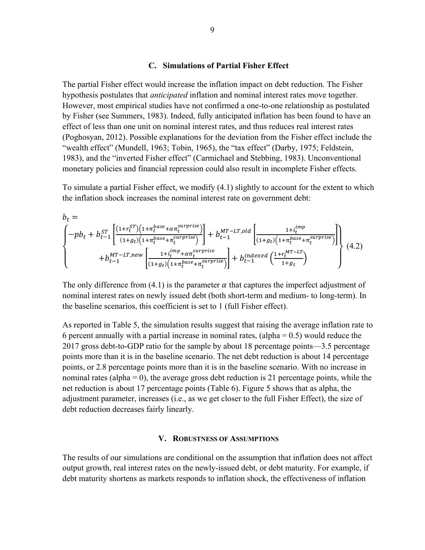#### **C. Simulations of Partial Fisher Effect**

The partial Fisher effect would increase the inflation impact on debt reduction. The Fisher hypothesis postulates that *anticipated* inflation and nominal interest rates move together. However, most empirical studies have not confirmed a one-to-one relationship as postulated by Fisher (see Summers, 1983). Indeed, fully anticipated inflation has been found to have an effect of less than one unit on nominal interest rates, and thus reduces real interest rates (Poghosyan, 2012). Possible explanations for the deviation from the Fisher effect include the "wealth effect" (Mundell, 1963; Tobin, 1965), the "tax effect" (Darby, 1975; Feldstein, 1983), and the "inverted Fisher effect" (Carmichael and Stebbing, 1983). Unconventional monetary policies and financial repression could also result in incomplete Fisher effects.

To simulate a partial Fisher effect, we modify (4.1) slightly to account for the extent to which the inflation shock increases the nominal interest rate on government debt:

$$
b_{t} = \left\{-pb_{t} + b_{t-1}^{ST} \left[ \frac{(1+r_{t}^{ST})(1+\pi_{t}^{base}+\alpha\pi_{t}^{surprise})}{(1+g_{t})(1+\pi_{t}^{base}+\pi_{t}^{surprise})} \right] + b_{t-1}^{MT-LT,old} \left[ \frac{1+i_{t}^{imp}}{(1+g_{t})(1+\pi_{t}^{base}+\pi_{t}^{surprise})} \right] \right\}
$$
  
+  $b_{t-1}^{MT-LT,new} \left[ \frac{1+i_{t}^{imp}+\alpha\pi_{t}^{surprise}}{(1+g_{t})(1+\pi_{t}^{base}+\pi_{t}^{surprise})} \right] + b_{t-1}^{indexed} \left( \frac{1+r_{t}^{MT-LT}}{1+g_{t}} \right)$  (4.2)

The only difference from (4.1) is the parameter  $\alpha$  that captures the imperfect adjustment of nominal interest rates on newly issued debt (both short-term and medium- to long-term). In the baseline scenarios, this coefficient is set to 1 (full Fisher effect).

As reported in Table 5, the simulation results suggest that raising the average inflation rate to 6 percent annually with a partial increase in nominal rates, (alpha  $= 0.5$ ) would reduce the 2017 gross debt-to-GDP ratio for the sample by about 18 percentage points—3.5 percentage points more than it is in the baseline scenario. The net debt reduction is about 14 percentage points, or 2.8 percentage points more than it is in the baseline scenario. With no increase in nominal rates (alpha  $= 0$ ), the average gross debt reduction is 21 percentage points, while the net reduction is about 17 percentage points (Table 6). Figure 5 shows that as alpha, the adjustment parameter, increases (i.e., as we get closer to the full Fisher Effect), the size of debt reduction decreases fairly linearly.

#### **V. ROBUSTNESS OF ASSUMPTIONS**

The results of our simulations are conditional on the assumption that inflation does not affect output growth, real interest rates on the newly-issued debt, or debt maturity. For example, if debt maturity shortens as markets responds to inflation shock, the effectiveness of inflation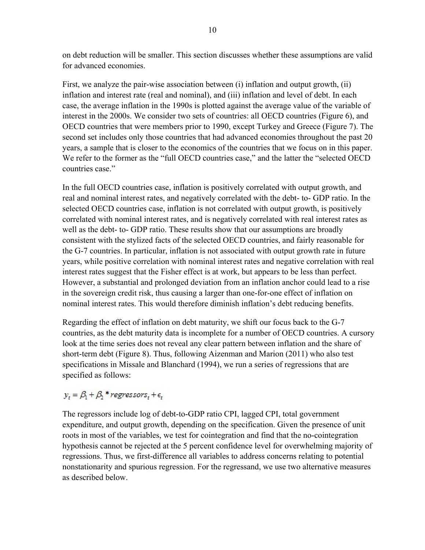on debt reduction will be smaller. This section discusses whether these assumptions are valid for advanced economies.

First, we analyze the pair-wise association between (i) inflation and output growth, (ii) inflation and interest rate (real and nominal), and (iii) inflation and level of debt. In each case, the average inflation in the 1990s is plotted against the average value of the variable of interest in the 2000s. We consider two sets of countries: all OECD countries (Figure 6), and OECD countries that were members prior to 1990, except Turkey and Greece (Figure 7). The second set includes only those countries that had advanced economies throughout the past 20 years, a sample that is closer to the economics of the countries that we focus on in this paper. We refer to the former as the "full OECD countries case," and the latter the "selected OECD countries case."

In the full OECD countries case, inflation is positively correlated with output growth, and real and nominal interest rates, and negatively correlated with the debt- to- GDP ratio. In the selected OECD countries case, inflation is not correlated with output growth, is positively correlated with nominal interest rates, and is negatively correlated with real interest rates as well as the debt- to- GDP ratio. These results show that our assumptions are broadly consistent with the stylized facts of the selected OECD countries, and fairly reasonable for the G-7 countries. In particular, inflation is not associated with output growth rate in future years, while positive correlation with nominal interest rates and negative correlation with real interest rates suggest that the Fisher effect is at work, but appears to be less than perfect. However, a substantial and prolonged deviation from an inflation anchor could lead to a rise in the sovereign credit risk, thus causing a larger than one-for-one effect of inflation on nominal interest rates. This would therefore diminish inflation's debt reducing benefits.

Regarding the effect of inflation on debt maturity, we shift our focus back to the G-7 countries, as the debt maturity data is incomplete for a number of OECD countries. A cursory look at the time series does not reveal any clear pattern between inflation and the share of short-term debt (Figure 8). Thus, following Aizenman and Marion (2011) who also test specifications in Missale and Blanchard (1994), we run a series of regressions that are specified as follows:

### $y_t = \beta_1 + \beta_2$ \*regressors, +  $\epsilon_t$

The regressors include log of debt-to-GDP ratio CPI, lagged CPI, total government expenditure, and output growth, depending on the specification. Given the presence of unit roots in most of the variables, we test for cointegration and find that the no-cointegration hypothesis cannot be rejected at the 5 percent confidence level for overwhelming majority of regressions. Thus, we first-difference all variables to address concerns relating to potential nonstationarity and spurious regression. For the regressand, we use two alternative measures as described below.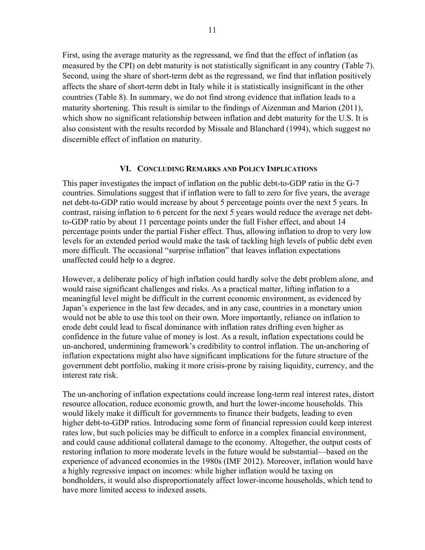First, using the average maturity as the regressand, we find that the effect of inflation (as measured by the CPI) on debt maturity is not statistically significant in any country (Table 7). Second, using the share of short-term debt as the regressand, we find that inflation positively affects the share of short-term debt in Italy while it is statistically insignificant in the other countries (Table 8). In summary, we do not find strong evidence that inflation leads to a maturity shortening. This result is similar to the findings of Aizenman and Marion (2011), which show no significant relationship between inflation and debt maturity for the U.S. It is also consistent with the results recorded by Missale and Blanchard (1994), which suggest no discernible effect of inflation on maturity.

#### **VI. CONCLUDING REMARKS AND POLICY IMPLICATIONS**

This paper investigates the impact of inflation on the public debt-to-GDP ratio in the G-7 countries. Simulations suggest that if inflation were to fall to zero for five years, the average net debt-to-GDP ratio would increase by about 5 percentage points over the next 5 years. In contrast, raising inflation to 6 percent for the next 5 years would reduce the average net debtto-GDP ratio by about 11 percentage points under the full Fisher effect, and about 14 percentage points under the partial Fisher effect. Thus, allowing inflation to drop to very low levels for an extended period would make the task of tackling high levels of public debt even more difficult. The occasional "surprise inflation" that leaves inflation expectations unaffected could help to a degree.

However, a deliberate policy of high inflation could hardly solve the debt problem alone, and would raise significant challenges and risks. As a practical matter, lifting inflation to a meaningful level might be difficult in the current economic environment, as evidenced by Japan's experience in the last few decades, and in any case, countries in a monetary union would not be able to use this tool on their own. More importantly, reliance on inflation to erode debt could lead to fiscal dominance with inflation rates drifting even higher as confidence in the future value of money is lost. As a result, inflation expectations could be un-anchored, undermining framework's credibility to control inflation. The un-anchoring of inflation expectations might also have significant implications for the future structure of the government debt portfolio, making it more crisis-prone by raising liquidity, currency, and the interest rate risk.

The un-anchoring of inflation expectations could increase long-term real interest rates, distort resource allocation, reduce economic growth, and hurt the lower-income households. This would likely make it difficult for governments to finance their budgets, leading to even higher debt-to-GDP ratios. Introducing some form of financial repression could keep interest rates low, but such policies may be difficult to enforce in a complex financial environment, and could cause additional collateral damage to the economy. Altogether, the output costs of restoring inflation to more moderate levels in the future would be substantial—based on the experience of advanced economies in the 1980s (IMF 2012). Moreover, inflation would have a highly regressive impact on incomes: while higher inflation would be taxing on bondholders, it would also disproportionately affect lower-income households, which tend to have more limited access to indexed assets.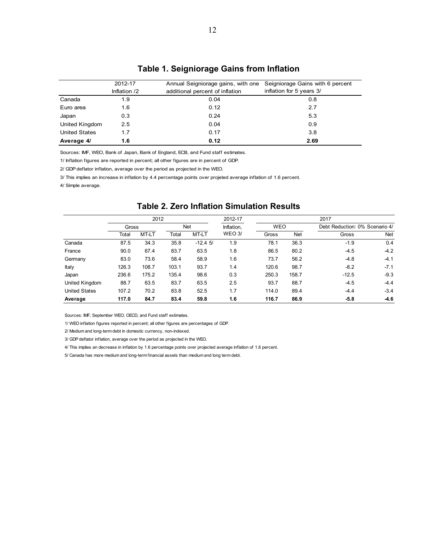|                      | 2012-17      | Annual Seigniorage gains, with one | Seigniorage Gains with 6 percent |
|----------------------|--------------|------------------------------------|----------------------------------|
|                      | Inflation /2 | additional percent of inflation    | inflation for 5 years 3/         |
| Canada               | 1.9          | 0.04                               | 0.8                              |
| Euro area            | 1.6          | 0.12                               | 2.7                              |
| Japan                | 0.3          | 0.24                               | 5.3                              |
| United Kingdom       | 2.5          | 0.04                               | 0.9                              |
| <b>United States</b> | 1.7          | 0.17                               | 3.8                              |
| Average 4/           | 1.6          | 0.12                               | 2.69                             |

#### **Table 1. Seigniorage Gains from Inflation**

Sources: IMF, WEO, Bank of Japan, Bank of England, ECB, and Fund staff estimates.

1/ Inflation figures are reported in percent; all other figures are in percent of GDP.

2/ GDP deflator inflation, average over the period as projected in the WEO.

3/ This implies an increase in inflation by 4.4 percentage points over projeted average inflation of 1.6 percent.

4/ Simple average.

|                      |       | 2012  |            |           | 2012-17       | 2017       |       |                                |            |  |  |
|----------------------|-------|-------|------------|-----------|---------------|------------|-------|--------------------------------|------------|--|--|
|                      | Gross |       | <b>Net</b> |           | Inflation,    | <b>WEO</b> |       | Debt Reduction: 0% Scenario 4/ |            |  |  |
|                      | Total | MT-LT | Total      | MT-LT     | <b>WEO 3/</b> | Gross      | Net   | Gross                          | <b>Net</b> |  |  |
| Canada               | 87.5  | 34.3  | 35.8       | $-12.45/$ | 1.9           | 78.1       | 36.3  | $-1.9$                         | 0.4        |  |  |
| France               | 90.0  | 67.4  | 83.7       | 63.5      | 1.8           | 86.5       | 80.2  | $-4.5$                         | $-4.2$     |  |  |
| Germany              | 83.0  | 73.6  | 58.4       | 58.9      | 1.6           | 73.7       | 56.2  | $-4.8$                         | $-4.1$     |  |  |
| Italy                | 126.3 | 108.7 | 103.1      | 93.7      | 1.4           | 120.6      | 98.7  | $-8.2$                         | $-7.1$     |  |  |
| Japan                | 236.6 | 175.2 | 135.4      | 98.6      | 0.3           | 250.3      | 158.7 | $-12.5$                        | $-9.3$     |  |  |
| United Kingdom       | 88.7  | 63.5  | 83.7       | 63.5      | 2.5           | 93.7       | 88.7  | $-4.5$                         | $-4.4$     |  |  |
| <b>United States</b> | 107.2 | 70.2  | 83.8       | 52.5      | 1.7           | 114.0      | 89.4  | $-4.4$                         | $-3.4$     |  |  |
| Average              | 117.0 | 84.7  | 83.4       | 59.8      | 1.6           | 116.7      | 86.9  | $-5.8$                         | $-4.6$     |  |  |

#### **Table 2. Zero Inflation Simulation Results**

Sources: IMF, September WEO, OECD, and Fund staff estimates.

1/ WEO inflation figures reported in percent; all other figures are percentages of GDP.

2/ Medium and long-term debt in domestic currency, non-indexed.

3/ GDP deflator inflation, average over the period as projected in the WEO.

4/ This implies an decrease in inflation by 1.6 percentage points over projected average inflation of 1.6 percent.

5/ Canada has more medium and long-term financial assets than medium and long term debt.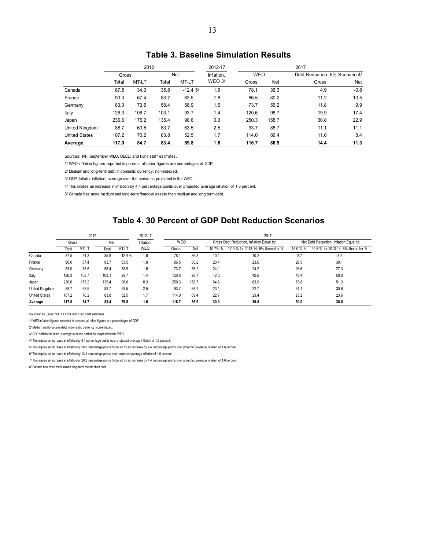#### **Table 3. Baseline Simulation Results**

|                      |       | 2012  |       |            | 2012-17       | 2017       |            |                                |            |  |
|----------------------|-------|-------|-------|------------|---------------|------------|------------|--------------------------------|------------|--|
|                      | Gross |       |       | <b>Net</b> | Inflation,    | <b>WEO</b> |            | Debt Reduction: 6% Scenario 4/ |            |  |
|                      | Total | MT-LT | Total | MT-LT      | <b>WEO 3/</b> | Gross      | <b>Net</b> | Gross                          | <b>Net</b> |  |
| Canada               | 87.5  | 34.3  | 35.8  | $-12.45/$  | 1.9           | 78.1       | 36.3       | 4.9                            | $-0.8$     |  |
| France               | 90.0  | 67.4  | 83.7  | 63.5       | 1.8           | 86.5       | 80.2       | 11.2                           | 10.5       |  |
| Germany              | 83.0  | 73.6  | 58.4  | 58.9       | 1.6           | 73.7       | 56.2       | 11.8                           | 9.9        |  |
| Italy                | 126.3 | 108.7 | 103.1 | 93.7       | 1.4           | 120.6      | 98.7       | 19.9                           | 17.4       |  |
| Japan                | 236.6 | 175.2 | 135.4 | 98.6       | 0.3           | 250.3      | 158.7      | 30.8                           | 22.9       |  |
| United Kingdom       | 88.7  | 63.5  | 83.7  | 63.5       | 2.5           | 93.7       | 88.7       | 11.1                           | 11.1       |  |
| <b>United States</b> | 107.2 | 70.2  | 83.8  | 52.5       | 1.7           | 114.0      | 89.4       | 11.0                           | 8.4        |  |
| Average              | 117.0 | 84.7  | 83.4  | 59.8       | 1.6           | 116.7      | 86.9       | 14.4                           | 11.3       |  |

Sources: IMF, September WEO, OECD, and Fund staff estimates.

1/ WEO inflation figures reported in percent; all other figures are percentages of GDP.

2/ Medium and long-term debt in domestic currency, non-indexed.

3/ GDP deflator inflation, average over the period as projected in the WEO.

4/ This implies an increase in inflation by 4.4 percentage points over projected average inflation of 1.6 percent.

5/ Canada has more medium and long-term financial assets than medium and long term debt.

#### **Table 4. 30 Percent of GDP Debt Reduction Scenarios**

|                      |       | 2012  |       |           | 2012-17    |            |       |                                           |                                      |           |                                         |
|----------------------|-------|-------|-------|-----------|------------|------------|-------|-------------------------------------------|--------------------------------------|-----------|-----------------------------------------|
|                      | Gross |       | Net   |           | Inflation. | <b>WEO</b> |       | Gross Debt Reduction, Inflation Equal to: |                                      |           | Net Debt Reduction, Inflation Equal to: |
|                      | Total | MT-LT | Total | MT-LT     | WEO        | Gross      | Net   | 10.7% 4/                                  | 17.9 % for 2013-14; 6% thereafter 5/ | 15.0 % 6/ | 29.8 % for 2013-14; 6% thereafter 7/    |
| Canada               | 87.5  | 34.3  | 35.8  | $-12.46/$ | 1.9        | 78.1       | 36.3  | 10.1                                      | 10.2                                 | $-2.7$    | $-3.2$                                  |
| France               | 90.0  | 67.4  | 83.7  | 63.5      | 1.8        | 86.5       | 80.2  | 23.4                                      | 23.6                                 | 29.5      | 30.1                                    |
| Germany              | 83.0  | 73.6  | 58.4  | 58.9      | 1.6        | 73.7       | 56.2  | 24.1                                      | 24.2                                 | 26.6      | 27.3                                    |
| Italy                | 126.3 | 108.7 | 103.1 | 93.7      | 1.4        | 120.6      | 98.7  | 42.3                                      | 42.6                                 | 48.4      | 50.0                                    |
| Japan                | 236.6 | 175.2 | 135.4 | 98.6      | 0.3        | 250.3      | 158.7 | 64.6                                      | 63.0                                 | 53.8      | 51.3                                    |
| United Kingdom       | 88.7  | 63.5  | 83.7  | 63.5      | 2.5        | 93.7       | 88.7  | 23.1                                      | 22.7                                 | 31.1      | 30.6                                    |
| <b>United States</b> | 107.2 | 70.2  | 83.8  | 52.5      | 1.7        | 114.0      | 89.4  | 22.7                                      | 23.4                                 | 23.2      | 23.6                                    |
| Average              | 117.0 | 84.7  | 83.4  | 59.8      | 1.6        | 116.7      | 86.9  | 30.0                                      | 30.0                                 | 30.0      | 30.0                                    |

Sources: IMF, latest WEO, OECD, and Fund staff estimates.

1/ WEO inflation figures reported in percent; all other figures are percentages of GDP.

2/ Medium and long-term debt in domestic currency, non-indexed.

3/ GDP deflator inflation, average over the period as projected in the WEO.

4/ This implies an increase in inflation by 9.1 percentage points over projected average inflation of 1.6 percent.

5/ This implies an increase in inflation by 16.3 percentage points follow ed by an increase by 4.4 percentage points over projected average inflation of 1.6 percent.

6/ This implies an increase in inflation by 13.4 percentage points over projected average inflation of 1.6 percent.

7/ This implies an increase in inflation by 28.2 percentage points follow ed by an increase by 4.4 percentage points over projected average inflation of 1.6 percent.

8/ Canada has more medium and long-term assets than debt.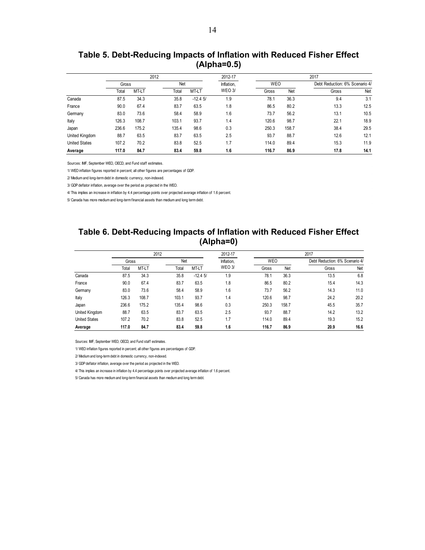| Table 5. Debt-Reducing Impacts of Inflation with Reduced Fisher Effect |
|------------------------------------------------------------------------|
| $(Alpha=0.5)$                                                          |

|                      |       | 2012  |       |           | 2012-17       | 2017       |       |                                |      |  |
|----------------------|-------|-------|-------|-----------|---------------|------------|-------|--------------------------------|------|--|
|                      | Gross |       |       | Net       |               | <b>WEO</b> |       | Debt Reduction: 6% Scenario 4/ |      |  |
|                      | Total | MT-LT | Total | MT-LT     | <b>WEO 3/</b> | Gross      | Net   | Gross                          | Net  |  |
| Canada               | 87.5  | 34.3  | 35.8  | $-12.45/$ | 1.9           | 78.1       | 36.3  | 9.4                            | 3.1  |  |
| France               | 90.0  | 67.4  | 83.7  | 63.5      | 1.8           | 86.5       | 80.2  | 13.3                           | 12.5 |  |
| Germany              | 83.0  | 73.6  | 58.4  | 58.9      | 1.6           | 73.7       | 56.2  | 13.1                           | 10.5 |  |
| Italy                | 126.3 | 108.7 | 103.1 | 93.7      | 1.4           | 120.6      | 98.7  | 22.1                           | 18.9 |  |
| Japan                | 236.6 | 175.2 | 135.4 | 98.6      | 0.3           | 250.3      | 158.7 | 38.4                           | 29.5 |  |
| United Kingdom       | 88.7  | 63.5  | 83.7  | 63.5      | 2.5           | 93.7       | 88.7  | 12.6                           | 12.1 |  |
| <b>United States</b> | 107.2 | 70.2  | 83.8  | 52.5      | 1.7           | 114.0      | 89.4  | 15.3                           | 11.9 |  |
| Average              | 117.0 | 84.7  | 83.4  | 59.8      | 1.6           | 116.7      | 86.9  | 17.8                           | 14.1 |  |

Sources: IMF, September WEO, OECD, and Fund staff estimates.

1/ WEO inflation figures reported in percent; all other figures are percentages of GDP.

2/ Medium and long-term debt in domestic currency, non-indexed.

3/ GDP deflator inflation, average over the period as projected in the WEO.

4/ This implies an increase in inflation by 4.4 percentage points over projected average inflation of 1.6 percent.

5/ Canada has more medium and long-term financial assets than medium and long term debt.

#### **Table 6. Debt-Reducing Impacts of Inflation with Reduced Fisher Effect (Alpha=0)**

|                      |       | 2012  |       |           | 2012-17       | 2017       |       |                                |      |  |
|----------------------|-------|-------|-------|-----------|---------------|------------|-------|--------------------------------|------|--|
|                      | Gross |       | Net   |           | Inflation,    | <b>WEO</b> |       | Debt Reduction: 6% Scenario 4/ |      |  |
|                      | Total | MT-LT | Total | MT-LT     | <b>WEO 3/</b> | Gross      | Net   | Gross                          | Net  |  |
| Canada               | 87.5  | 34.3  | 35.8  | $-12.45/$ | 1.9           | 78.1       | 36.3  | 13.5                           | 6.8  |  |
| France               | 90.0  | 67.4  | 83.7  | 63.5      | 1.8           | 86.5       | 80.2  | 15.4                           | 14.3 |  |
| Germany              | 83.0  | 73.6  | 58.4  | 58.9      | 1.6           | 73.7       | 56.2  | 14.3                           | 11.0 |  |
| Italy                | 126.3 | 108.7 | 103.1 | 93.7      | 1.4           | 120.6      | 98.7  | 24.2                           | 20.2 |  |
| Japan                | 236.6 | 175.2 | 135.4 | 98.6      | 0.3           | 250.3      | 158.7 | 45.5                           | 35.7 |  |
| United Kingdom       | 88.7  | 63.5  | 83.7  | 63.5      | 2.5           | 93.7       | 88.7  | 14.2                           | 13.2 |  |
| <b>United States</b> | 107.2 | 70.2  | 83.8  | 52.5      | 1.7           | 114.0      | 89.4  | 19.3                           | 15.2 |  |
| Average              | 117.0 | 84.7  | 83.4  | 59.8      | 1.6           | 116.7      | 86.9  | 20.9                           | 16.6 |  |

Sources: IMF, September WEO, OECD, and Fund staff estimates.

1/ WEO inflation figures reported in percent; all other figures are percentages of GDP.

2/ Medium and long-term debt in domestic currency, non-indexed.

3/ GDP deflator inflation, average over the period as projected in the WEO.

4/ This implies an increase in inflation by 4.4 percentage points over projected average inflation of 1.6 percent.

5/ Canada has more medium and long-term financial assets than medium and long term debt.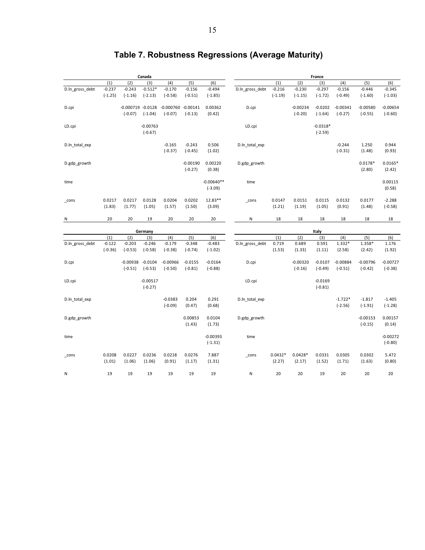|                 | Canada                |                         |                         |                         |                         |                           | France           |                     |                         |                         |                         |                         |                         |  |
|-----------------|-----------------------|-------------------------|-------------------------|-------------------------|-------------------------|---------------------------|------------------|---------------------|-------------------------|-------------------------|-------------------------|-------------------------|-------------------------|--|
|                 | (1)                   | (2)                     | (3)                     | (4)                     | (5)                     | (6)                       |                  | (1)                 | (2)                     | (3)                     | (4)                     | (5)                     | (6)                     |  |
| D.ln_gross_debt | $-0.237$              | $-0.243$                | $-0.512*$               | $-0.170$                | $-0.156$                | $-0.494$                  | D.ln_gross_debt  | $-0.216$            | $-0.230$                | $-0.297$                | $-0.156$                | $-0.446$                | $-0.345$                |  |
|                 | $(-1.25)$             | $(-1.16)$               | $(-2.13)$               | $(-0.58)$               | $(-0.51)$               | $(-1.85)$                 |                  | $(-1.19)$           | $(-1.15)$               | $(-1.72)$               | $(-0.49)$               | $(-1.60)$               | $(-1.03)$               |  |
| D.cpi           |                       | $-0.000719 - 0.0128$    |                         | $-0.000760 - 0.00141$   |                         | 0.00362                   | D.cpi            |                     | $-0.00234$              | $-0.0202$               | $-0.00341$              | $-0.00580$              | $-0.00654$              |  |
|                 |                       | $(-0.07)$               | $(-1.04)$               | $(-0.07)$               | $(-0.13)$               | (0.42)                    |                  |                     | $(-0.20)$               | $(-1.64)$               | $(-0.27)$               | $(-0.55)$               | $(-0.60)$               |  |
| LD.cpi          |                       |                         | $-0.00763$<br>$(-0.67)$ |                         |                         |                           | LD.cpi           |                     |                         | $-0.0318*$<br>$(-2.59)$ |                         |                         |                         |  |
| D.ln_total_exp  |                       |                         |                         | $-0.165$<br>$(-0.37)$   | $-0.243$<br>$(-0.45)$   | 0.506<br>(1.02)           | D.ln total exp   |                     |                         |                         | $-0.244$<br>$(-0.31)$   | 1.250<br>(1.48)         | 0.944<br>(0.93)         |  |
| D.gdp_growth    |                       |                         |                         |                         | $-0.00190$<br>$(-0.27)$ | 0.00220<br>(0.38)         | D.gdp_growth     |                     |                         |                         |                         | $0.0178*$<br>(2.80)     | $0.0165*$<br>(2.42)     |  |
| time            |                       |                         |                         |                         |                         | $-0.00640**$<br>$(-3.09)$ | time             |                     |                         |                         |                         |                         | 0.00115<br>(0.58)       |  |
| _cons           | 0.0217<br>(1.83)      | 0.0217<br>(1.77)        | 0.0128<br>(1.05)        | 0.0204<br>(1.57)        | 0.0202<br>(1.50)        | 12.83**<br>(3.09)         | $_{\text{cons}}$ | 0.0147<br>(1.21)    | 0.0151<br>(1.19)        | 0.0115<br>(1.05)        | 0.0132<br>(0.91)        | 0.0177<br>(1.48)        | $-2.288$<br>$(-0.58)$   |  |
| N               | 20                    | 20                      | 19                      | 20                      | 20                      | 20                        | N                | 18                  | 18                      | 18                      | 18                      | 18                      | 18                      |  |
|                 | Germany               |                         |                         |                         |                         |                           |                  |                     |                         | Italy                   |                         |                         |                         |  |
|                 | (1)                   | (2)                     | (3)                     | (4)                     | (5)                     | (6)                       |                  | (1)                 | (2)                     | (3)                     | (4)                     | (5)                     | (6)                     |  |
| D.ln_gross_debt | $-0.122$<br>$(-0.36)$ | $-0.203$<br>$(-0.53)$   | $-0.246$<br>$(-0.58)$   | $-0.179$<br>$(-0.38)$   | $-0.348$<br>$(-0.74)$   | $-0.483$<br>$(-1.02)$     | D.ln_gross_debt  | 0.719<br>(1.53)     | 0.689<br>(1.33)         | 0.591<br>(1.11)         | 1.332*<br>(2.58)        | 1.358*<br>(2.42)        | 1.176<br>(1.92)         |  |
| D.cpi           |                       | $-0.00938$<br>$(-0.51)$ | $-0.0104$<br>$(-0.53)$  | $-0.00966$<br>$(-0.50)$ | $-0.0155$<br>$(-0.81)$  | $-0.0164$<br>$(-0.88)$    | D.cpi            |                     | $-0.00320$<br>$(-0.16)$ | $-0.0107$<br>$(-0.49)$  | $-0.00884$<br>$(-0.51)$ | $-0.00796$<br>$(-0.42)$ | $-0.00727$<br>$(-0.38)$ |  |
| LD.cpi          |                       |                         | $-0.00517$<br>$(-0.27)$ |                         |                         |                           | LD.cpi           |                     |                         | $-0.0169$<br>$(-0.81)$  |                         |                         |                         |  |
| D.ln_total_exp  |                       |                         |                         | $-0.0383$<br>$(-0.09)$  | 0.204<br>(0.47)         | 0.291<br>(0.68)           | D.ln_total_exp   |                     |                         |                         | $-1.722*$<br>$(-2.56)$  | $-1.817$<br>$(-1.91)$   | $-1.405$<br>$(-1.28)$   |  |
| D.gdp_growth    |                       |                         |                         |                         | 0.00853<br>(1.43)       | 0.0104<br>(1.73)          | D.gdp_growth     |                     |                         |                         |                         | $-0.00153$<br>$(-0.15)$ | 0.00157<br>(0.14)       |  |
| time            |                       |                         |                         |                         |                         | $-0.00393$<br>$(-1.31)$   | time             |                     |                         |                         |                         |                         | $-0.00272$<br>$(-0.80)$ |  |
| _cons           | 0.0208<br>(1.01)      | 0.0227<br>(1.06)        | 0.0236<br>(1.06)        | 0.0218<br>(0.91)        | 0.0276<br>(1.17)        | 7.887<br>(1.31)           | $_{\text{cons}}$ | $0.0432*$<br>(2.27) | $0.0428*$<br>(2.17)     | 0.0331<br>(1.52)        | 0.0305<br>(1.71)        | 0.0302<br>(1.63)        | 5.472<br>(0.80)         |  |
| Ν               | 19                    | 19                      | 19                      | 19                      | 19                      | 19                        | N                | 20                  | 20                      | 19                      | 20                      | 20                      | 20                      |  |

### **Table 7. Robustness Regressions (Average Maturity)**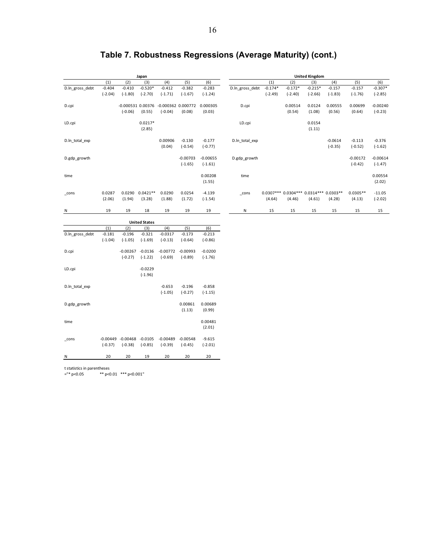|                 | Japan     |                       |            |                        |            |            | <b>United Kingdom</b> |           |                               |           |            |            |            |  |
|-----------------|-----------|-----------------------|------------|------------------------|------------|------------|-----------------------|-----------|-------------------------------|-----------|------------|------------|------------|--|
|                 | (1)       | (2)                   | (3)        | (4)                    | (5)        | (6)        |                       | (1)       | (2)                           | (3)       | (4)        | (5)        | (6)        |  |
| D.ln_gross_debt | $-0.404$  | $-0.410$              | $-0.520*$  | $-0.412$               | $-0.382$   | $-0.283$   | D.ln_gross_debt       | $-0.174*$ | $-0.172*$                     | $-0.215*$ | $-0.157$   | $-0.157$   | $-0.307*$  |  |
|                 | $(-2.04)$ | $(-1.80)$             | $(-2.70)$  | $(-1.71)$              | $(-1.67)$  | $(-1.24)$  |                       | $(-2.49)$ | $(-2.40)$                     | $(-2.66)$ | $(-1.83)$  | $(-1.76)$  | $(-2.85)$  |  |
| D.cpi           |           | $-0.000531$ $0.00376$ |            | $-0.000362$ $0.000772$ |            | 0.000305   | D.cpi                 |           | 0.00514                       | 0.0124    | 0.00555    | 0.00699    | $-0.00240$ |  |
|                 |           | $(-0.06)$             | (0.55)     | $(-0.04)$              | (0.08)     | (0.03)     |                       |           | (0.54)                        | (1.08)    | (0.56)     | (0.64)     | $(-0.23)$  |  |
| LD.cpi          |           |                       | $0.0217*$  |                        |            |            | LD.cpi                |           |                               | 0.0154    |            |            |            |  |
|                 |           |                       | (2.85)     |                        |            |            |                       |           |                               | (1.11)    |            |            |            |  |
| D.ln_total_exp  |           |                       |            | 0.00906                | $-0.130$   | $-0.177$   | D.ln total exp        |           |                               |           | $-0.0614$  | $-0.113$   | $-0.376$   |  |
|                 |           |                       |            | (0.04)                 | $(-0.54)$  | $(-0.77)$  |                       |           |                               |           | $(-0.35)$  | $(-0.52)$  | $(-1.62)$  |  |
| D.gdp_growth    |           |                       |            |                        | $-0.00703$ | $-0.00655$ | D.gdp growth          |           |                               |           |            | $-0.00172$ | $-0.00614$ |  |
|                 |           |                       |            |                        | $(-1.65)$  | $(-1.61)$  |                       |           |                               |           |            | $(-0.42)$  | $(-1.47)$  |  |
| time            |           |                       |            |                        |            | 0.00208    | time                  |           |                               |           |            |            | 0.00554    |  |
|                 |           |                       |            |                        |            | (1.55)     |                       |           |                               |           |            |            | (2.02)     |  |
| cons            | 0.0287    | 0.0290                | $0.0421**$ | 0.0290                 | 0.0254     | $-4.139$   | $_{\text{cons}}$      |           | $0.0307***0.0304***0.0314***$ |           | $0.0303**$ | $0.0305**$ | $-11.05$   |  |
|                 | (2.06)    | (1.94)                | (3.28)     | (1.88)                 | (1.72)     | $(-1.54)$  |                       | (4.64)    | (4.46)                        | (4.61)    | (4.28)     | (4.13)     | $(-2.02)$  |  |
| Ν               | 19        | 19                    | 18         | 19                     | 19         | 19         | Ν                     | 15        | 15                            | 15        | 15         | 15         | 15         |  |

## **Table 7. Robustness Regressions (Average Maturity) (cont.)**

| <b>United States</b> |            |            |           |            |            |           |  |  |  |  |
|----------------------|------------|------------|-----------|------------|------------|-----------|--|--|--|--|
|                      | (1)        | (2)        | (3)       | (4)        | (5)        | (6)       |  |  |  |  |
| D.ln gross debt      | $-0.181$   | $-0.196$   | $-0.321$  | $-0.0317$  | $-0.173$   | $-0.213$  |  |  |  |  |
|                      | $(-1.04)$  | $(-1.05)$  | $(-1.69)$ | $(-0.13)$  | $(-0.64)$  | $(-0.86)$ |  |  |  |  |
| D.cpi                |            | $-0.00267$ | $-0.0136$ | $-0.00772$ | $-0.00993$ | $-0.0200$ |  |  |  |  |
|                      |            | $(-0.27)$  | $(-1.22)$ | $(-0.69)$  | $(-0.89)$  | $(-1.76)$ |  |  |  |  |
| LD.cpi               |            |            | $-0.0229$ |            |            |           |  |  |  |  |
|                      |            |            | $(-1.96)$ |            |            |           |  |  |  |  |
| D.ln total exp       |            |            |           | $-0.653$   | $-0.196$   | $-0.858$  |  |  |  |  |
|                      |            |            |           | $(-1.05)$  | $(-0.27)$  | $(-1.15)$ |  |  |  |  |
| D.gdp growth         |            |            |           |            | 0.00861    | 0.00689   |  |  |  |  |
|                      |            |            |           |            | (1.13)     | (0.99)    |  |  |  |  |
| time                 |            |            |           |            |            | 0.00481   |  |  |  |  |
|                      |            |            |           |            |            | (2.01)    |  |  |  |  |
| cons                 | $-0.00449$ | $-0.00468$ | $-0.0105$ | $-0.00489$ | $-0.00548$ | $-9.615$  |  |  |  |  |
|                      | $(-0.37)$  | $(-0.38)$  | $(-0.85)$ | $(-0.39)$  | $(-0.45)$  | $(-2.01)$ |  |  |  |  |
| N                    | 20         | 20         | 19        | 20         | 20         | 20        |  |  |  |  |
|                      |            |            |           |            |            |           |  |  |  |  |

t statistics in parentheses

="\* p<0.05 \*\* p<0.01 \*\*\* p<0.001"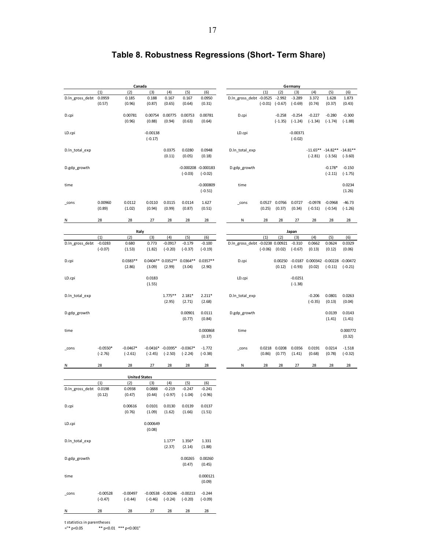|                 | Canada                  |                         |                         |                                         |                         |                                     | Germany                         |                  |                         |                         |                                           |                        |                                                |  |
|-----------------|-------------------------|-------------------------|-------------------------|-----------------------------------------|-------------------------|-------------------------------------|---------------------------------|------------------|-------------------------|-------------------------|-------------------------------------------|------------------------|------------------------------------------------|--|
|                 | (1)                     | (2)                     | (3)                     | (4)                                     | (5)                     | (6)                                 |                                 | (1)              | (2)                     | (3)                     | (4)                                       | (5)                    | (6)                                            |  |
| D.In_gross_debt | 0.0959<br>(0.57)        | 0.185<br>(0.96)         | 0.188<br>(0.87)         | 0.167<br>(0.65)                         | 0.167<br>(0.64)         | 0.0950<br>(0.31)                    | D.In_gross_debt -0.0525         | $(-0.01)$        | $-2.992$<br>$(-0.67)$   | $-3.289$<br>$(-0.69)$   | 3.372<br>(0.74)                           | 1.628<br>(0.37)        | 1.873<br>(0.43)                                |  |
| D.cpi           |                         | 0.00781<br>(0.96)       | 0.00754<br>(0.88)       | 0.00775<br>(0.94)                       | 0.00753<br>(0.63)       | 0.00781<br>(0.64)                   | D.cpi                           |                  | $-0.258$<br>$(-1.35)$   | $-0.254$<br>$(-1.24)$   | $-0.227$<br>$(-1.34)$                     | $-0.280$<br>$(-1.74)$  | $-0.300$<br>$(-1.88)$                          |  |
| LD.cpi          |                         |                         | $-0.00138$<br>$(-0.17)$ |                                         |                         |                                     | LD.cpi                          |                  |                         | $-0.00371$<br>$(-0.02)$ |                                           |                        |                                                |  |
| D.In_total_exp  |                         |                         |                         | 0.0375<br>(0.11)                        | 0.0280<br>(0.05)        | 0.0948<br>(0.18)                    | D.In total exp                  |                  |                         |                         | $(-2.81)$                                 | $(-3.56)$              | $-11.65***$ $-14.82**$ $-14.81**$<br>$(-3.60)$ |  |
| D.gdp_growth    |                         |                         |                         |                                         | $(-0.03)$               | $-0.000208 - 0.000183$<br>$(-0.02)$ | D.gdp_growth                    |                  |                         |                         |                                           | $-0.178*$<br>$(-2.11)$ | $-0.150$<br>$(-1.75)$                          |  |
| time            |                         |                         |                         |                                         |                         | $-0.000809$<br>$(-0.51)$            | time                            |                  |                         |                         |                                           |                        | 0.0234<br>(1.26)                               |  |
| cons            | 0.00960<br>(0.89)       | 0.0112<br>(1.02)        | 0.0110<br>(0.94)        | 0.0115<br>(0.99)                        | 0.0114<br>(0.87)        | 1.627<br>(0.51)                     | $_{\rm cons}$                   | (0.25)           | 0.0527 0.0766<br>(0.37) | 0.0727<br>(0.34)        | $-0.0978$<br>$(-0.51)$                    | $-0.0968$<br>$(-0.54)$ | $-46.73$<br>$(-1.26)$                          |  |
| N               | 28                      | 28                      | 27                      | 28                                      | 28                      | 28                                  | N                               | 28               | 28                      | 27                      | 28                                        | 28                     | 28                                             |  |
|                 |                         |                         |                         |                                         |                         |                                     |                                 |                  |                         |                         |                                           |                        |                                                |  |
|                 | (1)                     | Italy<br>(2)            | (3)                     | (4)                                     | (5)                     | (6)                                 |                                 | (1)              | (2)                     | Japan<br>(3)            | (4)                                       | (5)                    | (6)                                            |  |
| D.In_gross_debt | $-0.0283$               | 0.680                   | 0.773                   | $-0.0917$                               | $-0.179$                | $-0.100$                            | D.ln gross debt -0.0238 0.00921 |                  |                         | $-0.310$                | 0.0662                                    | 0.0624                 | 0.0329                                         |  |
|                 | $(-0.07)$               | (1.53)                  | (1.82)                  | $(-0.20)$                               | $(-0.37)$               | $(-0.19)$                           |                                 | $(-0.06)$        | (0.02)                  | $(-0.67)$               | (0.13)                                    | (0.12)                 | (0.06)                                         |  |
| D.cpi           |                         | $0.0383**$<br>(2.86)    | (3.09)                  | 0.0404** 0.0352**<br>(2.99)             | $0.0364**$<br>(3.04)    | $0.0357**$<br>(2.90)                | D.cpi                           |                  | 0.00250<br>(0.12)       | $(-0.93)$               | $-0.0187$ $0.000342$ $-0.00228$<br>(0.02) | $(-0.11)$              | $-0.00472$<br>$(-0.21)$                        |  |
| LD.cpi          |                         |                         | 0.0183<br>(1.55)        |                                         |                         |                                     | LD.cpi                          |                  |                         | $-0.0251$<br>$(-1.38)$  |                                           |                        |                                                |  |
| D.In_total_exp  |                         |                         |                         | $1.775**$<br>(2.95)                     | $2.181*$<br>(2.71)      | $2.211*$<br>(2.68)                  | D.In_total_exp                  |                  |                         |                         | $-0.206$<br>$(-0.35)$                     | 0.0801<br>(0.13)       | 0.0263<br>(0.04)                               |  |
| D.gdp_growth    |                         |                         |                         |                                         | 0.00901<br>(0.77)       | 0.0111<br>(0.84)                    | D.gdp_growth                    |                  |                         |                         |                                           | 0.0139<br>(1.41)       | 0.0143<br>(1.41)                               |  |
| time            |                         |                         |                         |                                         |                         | 0.000868<br>(0.37)                  | time                            |                  |                         |                         |                                           |                        | 0.000772<br>(0.32)                             |  |
| _cons           | $-0.0550*$<br>$(-2.76)$ | $-0.0467*$<br>$(-2.61)$ | $(-2.45)$               | $-0.0416* -0.0395*$<br>$(-2.50)$        | $-0.0367*$<br>$(-2.24)$ | $-1.772$<br>$(-0.38)$               | _cons                           | 0.0218<br>(0.86) | 0.0208<br>(0.77)        | 0.0356<br>(1.41)        | 0.0191<br>(0.68)                          | 0.0214<br>(0.78)       | $-1.518$<br>$(-0.32)$                          |  |
| N               | 28                      | 28                      | 27                      | 28                                      | 28                      | 28                                  | N                               | 28               | 28                      | 27                      | 28                                        | 28                     | 28                                             |  |
|                 |                         | <b>United States</b>    |                         |                                         |                         |                                     |                                 |                  |                         |                         |                                           |                        |                                                |  |
|                 | (1)                     | (2)                     | (3)                     | (4)                                     | (5)                     | (6)                                 |                                 |                  |                         |                         |                                           |                        |                                                |  |
| D.In_gross_debt | 0.0198<br>(0.12)        | 0.0938<br>(0.47)        | 0.0888<br>(0.44)        | $-0.219$<br>$(-0.97)$                   | $-0.247$<br>$(-1.04)$   | $-0.241$<br>$(-0.96)$               |                                 |                  |                         |                         |                                           |                        |                                                |  |
| D.cpi           |                         | 0.00616<br>(0.76)       | 0.0101<br>(1.09)        | 0.0130<br>(1.62)                        | 0.0139<br>(1.66)        | 0.0137<br>(1.51)                    |                                 |                  |                         |                         |                                           |                        |                                                |  |
| LD.cpi          |                         |                         | 0.000649<br>(0.08)      |                                         |                         |                                     |                                 |                  |                         |                         |                                           |                        |                                                |  |
| D.In_total_exp  |                         |                         |                         | $1.177*$<br>(2.37)                      | 1.356*<br>(2.14)        | 1.331<br>(1.88)                     |                                 |                  |                         |                         |                                           |                        |                                                |  |
| D.gdp growth    |                         |                         |                         |                                         | 0.00265<br>(0.47)       | 0.00260<br>(0.45)                   |                                 |                  |                         |                         |                                           |                        |                                                |  |
| time            |                         |                         |                         |                                         |                         | 0.000121<br>(0.09)                  |                                 |                  |                         |                         |                                           |                        |                                                |  |
| _cons           | $-0.00528$<br>$(-0.47)$ | $-0.00497$<br>$(-0.44)$ | $(-0.46)$               | -0.00538 -0.00246 -0.00213<br>$(-0.24)$ | $(-0.20)$               | $-0.244$<br>$(-0.09)$               |                                 |                  |                         |                         |                                           |                        |                                                |  |

### **Table 8. Robustness Regressions (Short- Term Share)**

t statistics in parentheses

="\* p<0.05 \*\* p<0.01 \*\*\* p<0.001"

N 28 28 27 28 28 28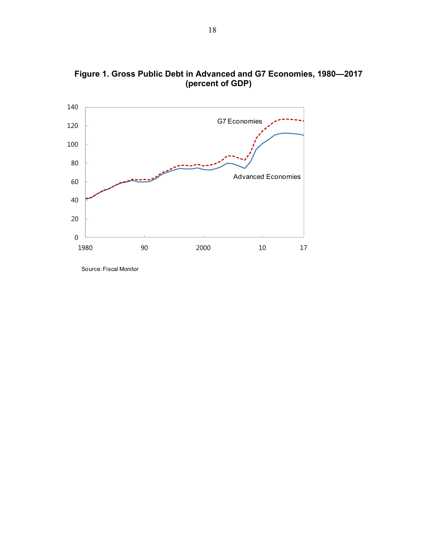

**Figure 1. Gross Public Debt in Advanced and G7 Economies, 1980—2017 (percent of GDP)**

Source: Fiscal Monitor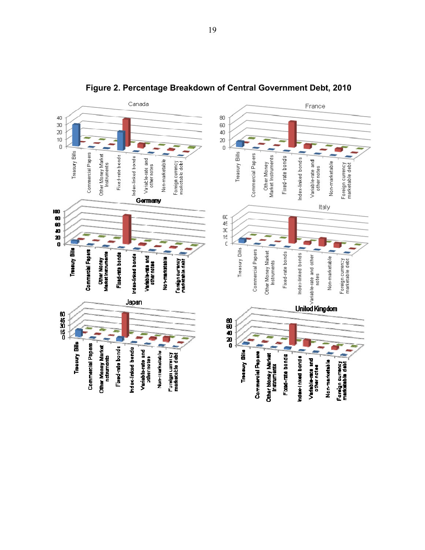

**Figure 2. Percentage Breakdown of Central Government Debt, 2010**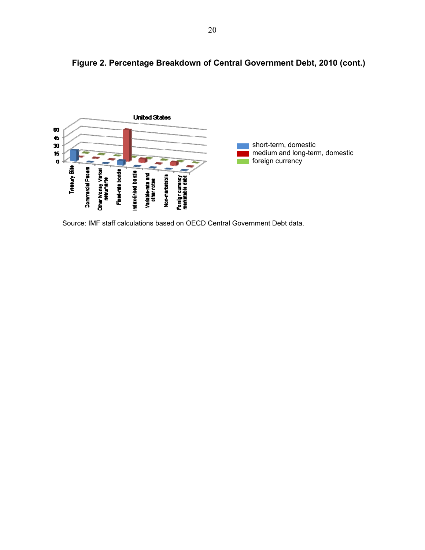

**Figure 2. Percentage Breakdown of Central Government Debt, 2010 (cont.)** 

Source: IMF staff calculations based on OECD Central Government Debt data.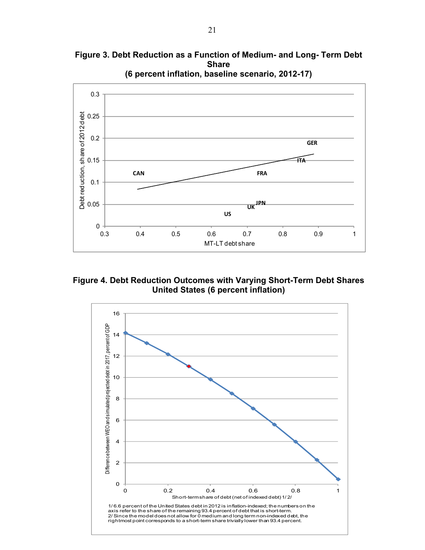**Figure 3. Debt Reduction as a Function of Medium- and Long- Term Debt Share** 



**Figure 4. Debt Reduction Outcomes with Varying Short-Term Debt Shares United States (6 percent inflation)** 

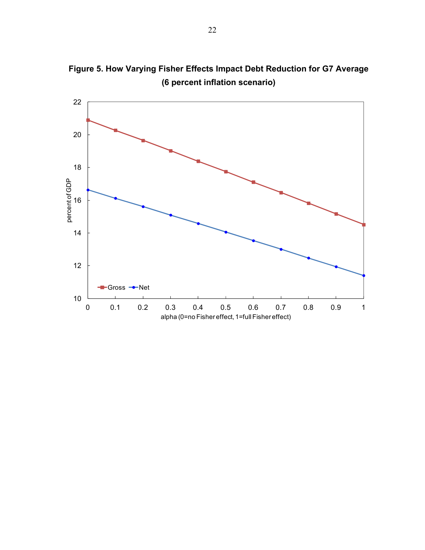

**Figure 5. How Varying Fisher Effects Impact Debt Reduction for G7 Average (6 percent inflation scenario)**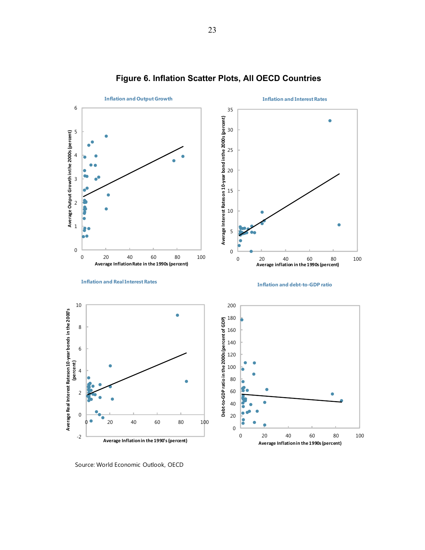

#### **Figure 6. Inflation Scatter Plots, All OECD Countries**

Source: World Economic Outlook, OECD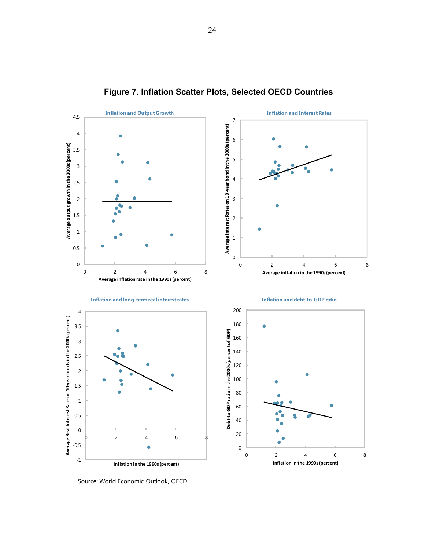

### **Figure 7. Inflation Scatter Plots, Selected OECD Countries**

Source: World Economic Outlook, OECD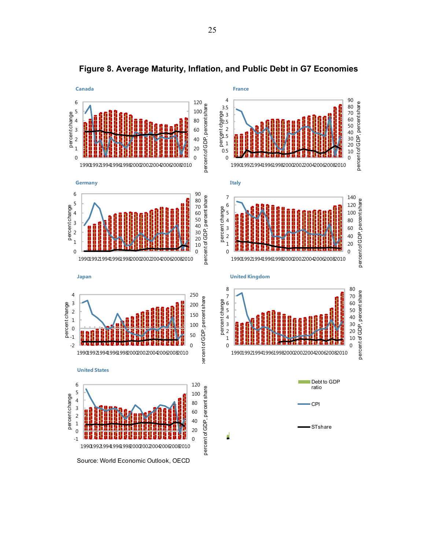

**Figure 8. Average Maturity, Inflation, and Public Debt in G7 Economies**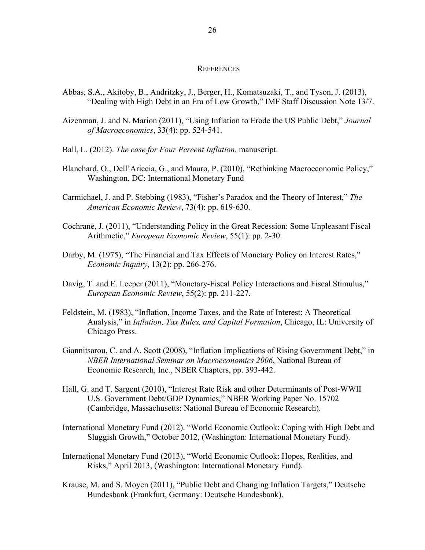#### **REFERENCES**

- Abbas, S.A., Akitoby, B., Andritzky, J., Berger, H., Komatsuzaki, T., and Tyson, J. (2013), "Dealing with High Debt in an Era of Low Growth," IMF Staff Discussion Note 13/7.
- Aizenman, J. and N. Marion (2011), "Using Inflation to Erode the US Public Debt," *Journal of Macroeconomics*, 33(4): pp. 524-541.
- Ball, L. (2012). *The case for Four Percent Inflation.* manuscript.
- Blanchard, O., Dell'Ariccia, G., and Mauro, P. (2010), "Rethinking Macroeconomic Policy," Washington, DC: International Monetary Fund
- Carmichael, J. and P. Stebbing (1983), "Fisher's Paradox and the Theory of Interest," *The American Economic Review*, 73(4): pp. 619-630.
- Cochrane, J. (2011), "Understanding Policy in the Great Recession: Some Unpleasant Fiscal Arithmetic," *European Economic Review*, 55(1): pp. 2-30.
- Darby, M. (1975), "The Financial and Tax Effects of Monetary Policy on Interest Rates," *Economic Inquiry*, 13(2): pp. 266-276.
- Davig, T. and E. Leeper (2011), "Monetary-Fiscal Policy Interactions and Fiscal Stimulus," *European Economic Review*, 55(2): pp. 211-227.
- Feldstein, M. (1983), "Inflation, Income Taxes, and the Rate of Interest: A Theoretical Analysis," in *Inflation, Tax Rules, and Capital Formation*, Chicago, IL: University of Chicago Press.
- Giannitsarou, C. and A. Scott (2008), "Inflation Implications of Rising Government Debt," in *NBER International Seminar on Macroeconomics 2006*, National Bureau of Economic Research, Inc., NBER Chapters, pp. 393-442.
- Hall, G. and T. Sargent (2010), "Interest Rate Risk and other Determinants of Post-WWII U.S. Government Debt/GDP Dynamics," NBER Working Paper No. 15702 (Cambridge, Massachusetts: National Bureau of Economic Research).
- International Monetary Fund (2012). "World Economic Outlook: Coping with High Debt and Sluggish Growth," October 2012, (Washington: International Monetary Fund).
- International Monetary Fund (2013), "World Economic Outlook: Hopes, Realities, and Risks," April 2013, (Washington: International Monetary Fund).
- Krause, M. and S. Moyen (2011), "Public Debt and Changing Inflation Targets," Deutsche Bundesbank (Frankfurt, Germany: Deutsche Bundesbank).